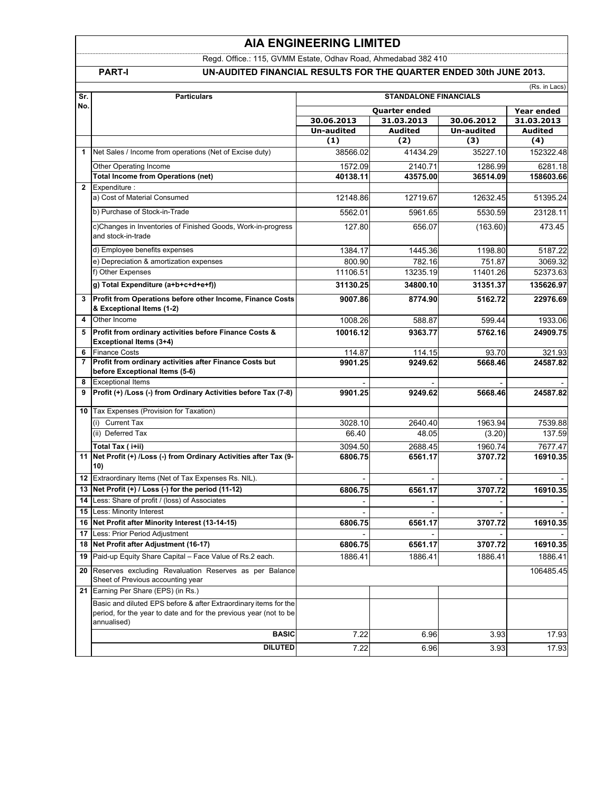### **AIA ENGINEERING LIMITED**

Regd. Office.: 115, GVMM Estate, Odhav Road, Ahmedabad 382 410

### **PART-I UN-AUDITED FINANCIAL RESULTS FOR THE QUARTER ENDED 30th JUNE 2013.**

(Rs. in Lacs)

| Sr.             | <b>Particulars</b>                                                                                                                                   |                    | (RS. In Lacs)      |                    |                     |
|-----------------|------------------------------------------------------------------------------------------------------------------------------------------------------|--------------------|--------------------|--------------------|---------------------|
| No.             |                                                                                                                                                      |                    | Year ended         |                    |                     |
|                 |                                                                                                                                                      | 30.06.2013         | 31.03.2013         | 30.06.2012         | 31.03.2013          |
|                 |                                                                                                                                                      | Un-audited         | <b>Audited</b>     | <b>Un-audited</b>  | Audited             |
|                 |                                                                                                                                                      | (1)                | (2)                | (3)                | (4)                 |
| 1               | Net Sales / Income from operations (Net of Excise duty)                                                                                              | 38566.02           | 41434.29           | 35227.10           | 152322.48           |
|                 | Other Operating Income                                                                                                                               | 1572.09            | 2140.71            | 1286.99            | 6281.18             |
|                 | <b>Total Income from Operations (net)</b>                                                                                                            | 40138.11           | 43575.00           | 36514.09           | 158603.66           |
| $\overline{2}$  | Expenditure:                                                                                                                                         |                    |                    |                    |                     |
|                 | a) Cost of Material Consumed                                                                                                                         | 12148.86           | 12719.67           | 12632.45           | 51395.24            |
|                 | b) Purchase of Stock-in-Trade                                                                                                                        | 5562.01            | 5961.65            | 5530.59            | 23128.11            |
|                 | c)Changes in Inventories of Finished Goods, Work-in-progress<br>and stock-in-trade                                                                   | 127.80             | 656.07             | (163.60)           | 473.45              |
|                 | d) Employee benefits expenses                                                                                                                        | 1384.17            | 1445.36            | 1198.80            | 5187.22             |
|                 | e) Depreciation & amortization expenses                                                                                                              | 800.90             | 782.16             | 751.87             | 3069.32             |
|                 | f) Other Expenses                                                                                                                                    | 11106.51           | 13235.19           | 11401.26           | 52373.63            |
|                 | g) Total Expenditure (a+b+c+d+e+f))                                                                                                                  | 31130.25           | 34800.10           | 31351.37           | 135626.97           |
| 3               | Profit from Operations before other Income, Finance Costs<br>& Exceptional Items (1-2)                                                               | 9007.86            | 8774.90            | 5162.72            | 22976.69            |
| 4               | Other Income                                                                                                                                         | 1008.26            | 588.87             | 599.44             | 1933.06             |
| 5               | Profit from ordinary activities before Finance Costs &<br>Exceptional Items (3+4)                                                                    | 10016.12           | 9363.77            | 5762.16            | 24909.75            |
| 6               | <b>Finance Costs</b>                                                                                                                                 | 114.87             | 114.15             | 93.70              | 321.93              |
| $\overline{7}$  | Profit from ordinary activities after Finance Costs but<br>before Exceptional Items (5-6)                                                            | 9901.25            | 9249.62            | 5668.46            | 24587.82            |
| 8               | <b>Exceptional Items</b>                                                                                                                             |                    |                    |                    |                     |
| 9               | Profit (+) /Loss (-) from Ordinary Activities before Tax (7-8)                                                                                       | 9901.25            | 9249.62            | 5668.46            | 24587.82            |
|                 | 10 Tax Expenses (Provision for Taxation)                                                                                                             |                    |                    |                    |                     |
|                 | <b>Current Tax</b><br>(i)                                                                                                                            | 3028.10            | 2640.40            | 1963.94            | 7539.88             |
|                 | (ii) Deferred Tax                                                                                                                                    | 66.40              | 48.05              | (3.20)             | 137.59              |
|                 | Total Tax (i+ii)                                                                                                                                     | 3094.50            | 2688.45            | 1960.74            | 7677.47             |
| 11              | Net Profit (+) /Loss (-) from Ordinary Activities after Tax (9-<br>10)                                                                               | 6806.75            | 6561.17            | 3707.72            | 16910.35            |
|                 | 12 Extraordinary Items (Net of Tax Expenses Rs. NIL).                                                                                                |                    |                    |                    |                     |
|                 | 13 Net Profit (+) / Loss (-) for the period (11-12)                                                                                                  | 6806.75            | 6561.17            | 3707.72            | 16910.35            |
|                 | 14 Less: Share of profit / (loss) of Associates                                                                                                      |                    |                    |                    |                     |
| 15              | Less: Minority Interest                                                                                                                              |                    |                    |                    |                     |
|                 | 16 Net Profit after Minority Interest (13-14-15)                                                                                                     | 6806.75            | 6561.17            | 3707.72            | 16910.35            |
| 17 <sup>1</sup> | Less: Prior Period Adjustment                                                                                                                        |                    |                    |                    |                     |
| 19              | 18 Net Profit after Adjustment (16-17)<br>Paid-up Equity Share Capital - Face Value of Rs.2 each.                                                    | 6806.75<br>1886.41 | 6561.17<br>1886.41 | 3707.72<br>1886.41 | 16910.35<br>1886.41 |
|                 |                                                                                                                                                      |                    |                    |                    |                     |
| 20              | Reserves excluding Revaluation Reserves as per Balance<br>Sheet of Previous accounting year                                                          |                    |                    |                    | 106485.45           |
|                 | 21 Earning Per Share (EPS) (in Rs.)                                                                                                                  |                    |                    |                    |                     |
|                 | Basic and diluted EPS before & after Extraordinary items for the<br>period, for the year to date and for the previous year (not to be<br>annualised) |                    |                    |                    |                     |
|                 | <b>BASIC</b>                                                                                                                                         | 7.22               | 6.96               | 3.93               | 17.93               |
|                 | <b>DILUTED</b>                                                                                                                                       | 7.22               | 6.96               | 3.93               | 17.93               |
|                 |                                                                                                                                                      |                    |                    |                    |                     |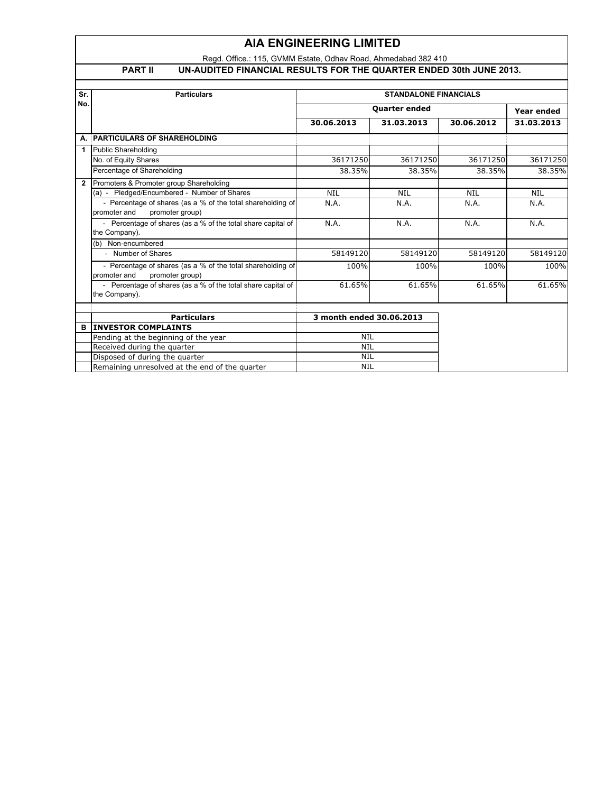## **AIA ENGINEERING LIMITED**

Regd. Office.: 115, GVMM Estate, Odhav Road, Ahmedabad 382 410

| J |     |  |
|---|-----|--|
|   |     |  |
|   | . . |  |

**PART II UN-AUDITED FINANCIAL RESULTS FOR THE QUARTER ENDED 30th JUNE 2013.**

| Sr.          | <b>Particulars</b>                                                                             | <b>STANDALONE FINANCIALS</b> |            |            |            |  |
|--------------|------------------------------------------------------------------------------------------------|------------------------------|------------|------------|------------|--|
| No.          |                                                                                                | <b>Quarter ended</b>         |            |            | Year ended |  |
|              |                                                                                                | 30.06.2013                   | 31.03.2013 | 30.06.2012 | 31.03.2013 |  |
|              | A. PARTICULARS OF SHAREHOLDING                                                                 |                              |            |            |            |  |
| 1            | <b>Public Shareholding</b>                                                                     |                              |            |            |            |  |
|              | No. of Equity Shares                                                                           | 36171250                     | 36171250   | 36171250   | 36171250   |  |
|              | Percentage of Shareholding                                                                     | 38.35%                       | 38.35%     | 38.35%     | 38.35%     |  |
| $\mathbf{2}$ | Promoters & Promoter group Shareholding                                                        |                              |            |            |            |  |
|              | (a) - Pledged/Encumbered - Number of Shares                                                    | <b>NIL</b>                   | <b>NIL</b> | <b>NIL</b> | <b>NIL</b> |  |
|              | - Percentage of shares (as a % of the total shareholding of<br>promoter and<br>promoter group) | N.A.                         | N.A.       | N.A.       | N.A.       |  |
|              | - Percentage of shares (as a % of the total share capital of<br>the Company).                  | N.A.                         | N.A.       | N.A.       | N.A.       |  |
|              | (b) Non-encumbered                                                                             |                              |            |            |            |  |
|              | - Number of Shares                                                                             | 58149120                     | 58149120   | 58149120   | 58149120   |  |
|              | - Percentage of shares (as a % of the total shareholding of<br>promoter and<br>promoter group) | 100%                         | 100%       | 100%       | 100%       |  |
|              | - Percentage of shares (as a % of the total share capital of<br>the Company).                  | 61.65%                       | 61.65%     | 61.65%     | 61.65%     |  |
|              |                                                                                                |                              |            |            |            |  |
|              | <b>Particulars</b>                                                                             | 3 month ended 30.06.2013     |            |            |            |  |
| в            | <b>INVESTOR COMPLAINTS</b>                                                                     |                              |            |            |            |  |
|              | Pending at the beginning of the year                                                           | NIL                          |            |            |            |  |
|              | Received during the quarter                                                                    | <b>NIL</b>                   |            |            |            |  |
|              | Disposed of during the quarter                                                                 | NIL                          |            |            |            |  |
|              | Remaining unresolved at the end of the quarter                                                 | <b>NIL</b>                   |            |            |            |  |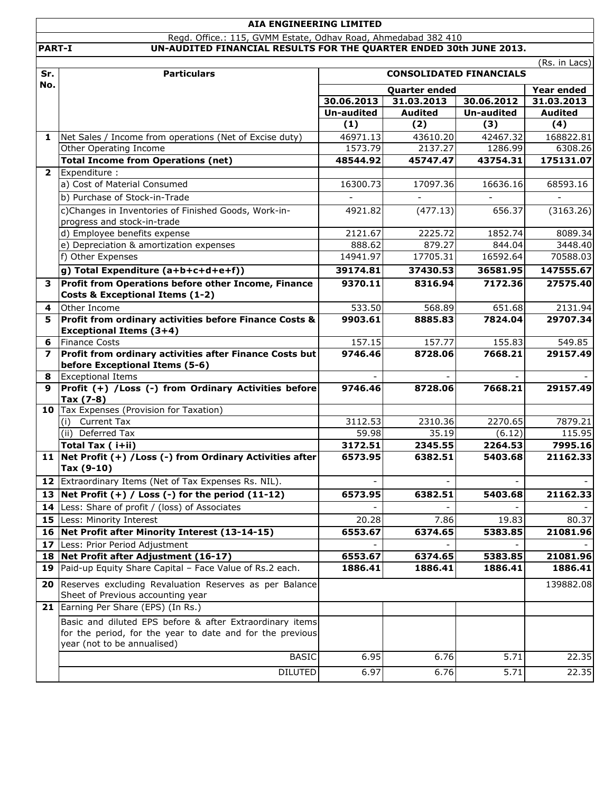|               | <b>AIA ENGINEERING LIMITED</b>                                                    |                          |                      |                     |                       |
|---------------|-----------------------------------------------------------------------------------|--------------------------|----------------------|---------------------|-----------------------|
|               | Regd. Office.: 115, GVMM Estate, Odhav Road, Ahmedabad 382 410                    |                          |                      |                     |                       |
| <b>PART-I</b> | UN-AUDITED FINANCIAL RESULTS FOR THE QUARTER ENDED 30th JUNE 2013.                |                          |                      |                     | (Rs. in Lacs)         |
| Sr.           |                                                                                   |                          |                      |                     |                       |
| No.           | <b>Particulars</b><br><b>CONSOLIDATED FINANCIALS</b>                              |                          |                      |                     |                       |
|               |                                                                                   |                          | <b>Quarter ended</b> |                     | <b>Year ended</b>     |
|               |                                                                                   | 30.06.2013               | 31.03.2013           | 30.06.2012          | 31.03.2013            |
|               |                                                                                   | <b>Un-audited</b><br>(1) | <b>Audited</b>       | <b>Un-audited</b>   | <b>Audited</b><br>(4) |
|               |                                                                                   |                          | (2)                  | (3)                 |                       |
| 1             | Net Sales / Income from operations (Net of Excise duty)<br>Other Operating Income | 46971.13<br>1573.79      | 43610.20<br>2137.27  | 42467.32<br>1286.99 | 168822.81<br>6308.26  |
|               | <b>Total Income from Operations (net)</b>                                         | 48544.92                 | 45747.47             | 43754.31            | 175131.07             |
| $\mathbf{2}$  | Expenditure :                                                                     |                          |                      |                     |                       |
|               | a) Cost of Material Consumed                                                      | 16300.73                 | 17097.36             | 16636.16            | 68593.16              |
|               | b) Purchase of Stock-in-Trade                                                     |                          |                      |                     |                       |
|               | c)Changes in Inventories of Finished Goods, Work-in-                              | 4921.82                  | (477.13)             | 656.37              | (3163.26)             |
|               | progress and stock-in-trade                                                       |                          |                      |                     |                       |
|               | d) Employee benefits expense                                                      | 2121.67                  | 2225.72              | 1852.74             | 8089.34               |
|               | e) Depreciation & amortization expenses                                           | 888.62                   | 879.27               | 844.04              | 3448.40               |
|               | f) Other Expenses                                                                 | 14941.97                 | 17705.31             | 16592.64            | 70588.03              |
|               | g) Total Expenditure (a+b+c+d+e+f))                                               | 39174.81                 | 37430.53             | 36581.95            | 147555.67             |
| 3             | Profit from Operations before other Income, Finance                               | 9370.11                  | 8316.94              | 7172.36             | 27575.40              |
|               | <b>Costs &amp; Exceptional Items (1-2)</b>                                        |                          |                      |                     |                       |
| 4             | Other Income                                                                      | 533.50                   | 568.89               | 651.68              | 2131.94               |
| 5             | Profit from ordinary activities before Finance Costs &                            | 9903.61                  | 8885.83              | 7824.04             | 29707.34              |
|               | <b>Exceptional Items (3+4)</b>                                                    |                          |                      |                     |                       |
| 6             | <b>Finance Costs</b>                                                              | 157.15                   | 157.77               | 155.83              | 549.85                |
| 7             | Profit from ordinary activities after Finance Costs but                           | 9746.46                  | 8728.06              | 7668.21             | 29157.49              |
|               | before Exceptional Items (5-6)                                                    |                          |                      |                     |                       |
| 8             | <b>Exceptional Items</b>                                                          |                          |                      |                     |                       |
| 9             | Profit (+) /Loss (-) from Ordinary Activities before<br>Tax (7-8)                 | 9746.46                  | 8728.06              | 7668.21             | 29157.49              |
|               | 10 Tax Expenses (Provision for Taxation)                                          |                          |                      |                     |                       |
|               | <b>Current Tax</b><br>(i)                                                         | 3112.53                  | 2310.36              | 2270.65             | 7879.21               |
|               | (ii) Deferred Tax                                                                 | 59.98                    | 35.19                | (6.12)              | 115.95                |
|               | Total Tax (i+ii)                                                                  | 3172.51                  | 2345.55              | 2264.53             | 7995.16               |
|               | 11 Net Profit (+) / Loss (-) from Ordinary Activities after                       | 6573.95                  | 6382.51              | 5403.68             | 21162.33              |
|               | Tax (9-10)                                                                        |                          |                      |                     |                       |
|               | 12 Extraordinary Items (Net of Tax Expenses Rs. NIL).                             |                          |                      |                     |                       |
|               | 13 Net Profit $(+)$ / Loss $(-)$ for the period $(11-12)$                         | 6573.95                  | 6382.51              | 5403.68             | 21162.33              |
|               | 14 Less: Share of profit / (loss) of Associates                                   |                          |                      |                     |                       |
|               | 15 Less: Minority Interest                                                        | 20.28                    | 7.86                 | 19.83               | 80.37                 |
|               | 16 Net Profit after Minority Interest (13-14-15)                                  | 6553.67                  | 6374.65              | 5383.85             | 21081.96              |
|               | 17 Less: Prior Period Adjustment                                                  |                          |                      |                     |                       |
|               | 18 Net Profit after Adjustment (16-17)                                            | 6553.67                  | 6374.65              | 5383.85             | 21081.96              |
| 19            | Paid-up Equity Share Capital - Face Value of Rs.2 each.                           | 1886.41                  | 1886.41              | 1886.41             | 1886.41               |
| 20            | Reserves excluding Revaluation Reserves as per Balance                            |                          |                      |                     | 139882.08             |
|               | Sheet of Previous accounting year                                                 |                          |                      |                     |                       |
|               | 21 Earning Per Share (EPS) (In Rs.)                                               |                          |                      |                     |                       |
|               | Basic and diluted EPS before & after Extraordinary items                          |                          |                      |                     |                       |
|               | for the period, for the year to date and for the previous                         |                          |                      |                     |                       |
|               | year (not to be annualised)                                                       |                          |                      |                     |                       |
|               | <b>BASIC</b>                                                                      | 6.95                     | 6.76                 | 5.71                | 22.35                 |
|               | <b>DILUTED</b>                                                                    | 6.97                     | 6.76                 | 5.71                | 22.35                 |
|               |                                                                                   |                          |                      |                     |                       |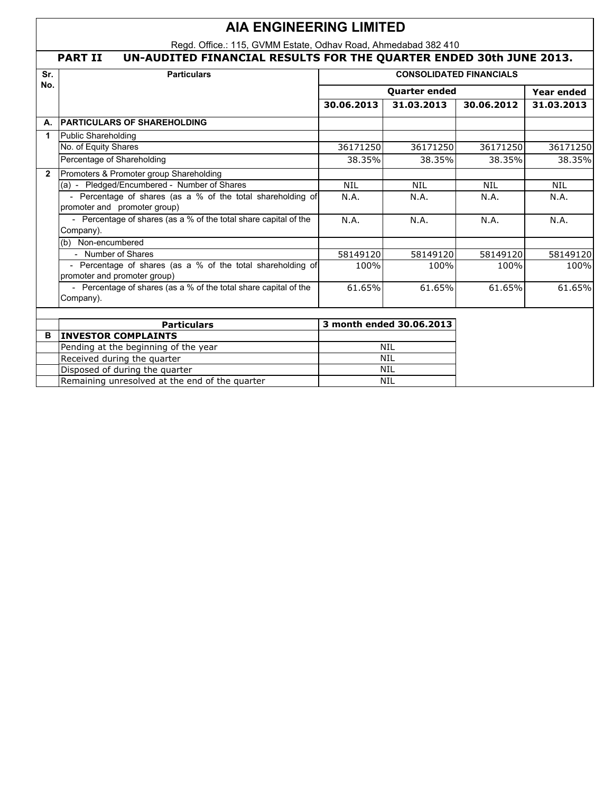# **AIA ENGINEERING LIMITED**

Regd. Office.: 115, GVMM Estate, Odhav Road, Ahmedabad 382 410

## **PART II UN-AUDITED FINANCIAL RESULTS FOR THE QUARTER ENDED 30th JUNE 2013.**

| Sr.            | <b>Particulars</b>                                                                          | <b>CONSOLIDATED FINANCIALS</b> |                          |            |                   |  |
|----------------|---------------------------------------------------------------------------------------------|--------------------------------|--------------------------|------------|-------------------|--|
| No.            |                                                                                             |                                | <b>Quarter ended</b>     |            | <b>Year ended</b> |  |
|                |                                                                                             | 30.06.2013                     | 31.03.2013               | 30.06.2012 | 31.03.2013        |  |
| А.             | <b>PARTICULARS OF SHAREHOLDING</b>                                                          |                                |                          |            |                   |  |
| 1              | Public Shareholding                                                                         |                                |                          |            |                   |  |
|                | No. of Equity Shares                                                                        | 36171250                       | 36171250                 | 36171250   | 36171250          |  |
|                | Percentage of Shareholding                                                                  | 38.35%                         | 38.35%                   | 38.35%     | 38.35%            |  |
| $\overline{2}$ | Promoters & Promoter group Shareholding                                                     |                                |                          |            |                   |  |
|                | (a) - Pledged/Encumbered - Number of Shares                                                 | <b>NIL</b>                     | <b>NIL</b>               | <b>NIL</b> | <b>NIL</b>        |  |
|                | - Percentage of shares (as a % of the total shareholding of<br>promoter and promoter group) | N.A.                           | N.A.                     | N.A.       | N.A.              |  |
|                | - Percentage of shares (as a % of the total share capital of the<br>Company).               | N.A.                           | N.A.                     | N.A.       | N.A.              |  |
|                | (b) Non-encumbered                                                                          |                                |                          |            |                   |  |
|                | - Number of Shares                                                                          | 58149120                       | 58149120                 | 58149120   | 58149120          |  |
|                | - Percentage of shares (as a % of the total shareholding of<br>promoter and promoter group) | 100%                           | 100%                     | 100%       | 100%              |  |
|                | - Percentage of shares (as a % of the total share capital of the<br>Company).               | 61.65%                         | 61.65%                   | 61.65%     | 61.65%            |  |
|                |                                                                                             |                                |                          |            |                   |  |
|                | <b>Particulars</b>                                                                          |                                | 3 month ended 30.06.2013 |            |                   |  |
| B              | <b>INVESTOR COMPLAINTS</b>                                                                  |                                |                          |            |                   |  |
|                | Pending at the beginning of the year                                                        | <b>NIL</b><br><b>NIL</b>       |                          |            |                   |  |
|                | Received during the quarter                                                                 | <b>NIL</b>                     |                          |            |                   |  |
|                | Disposed of during the quarter                                                              |                                | <b>NIL</b>               |            |                   |  |
|                | Remaining unresolved at the end of the quarter                                              |                                |                          |            |                   |  |